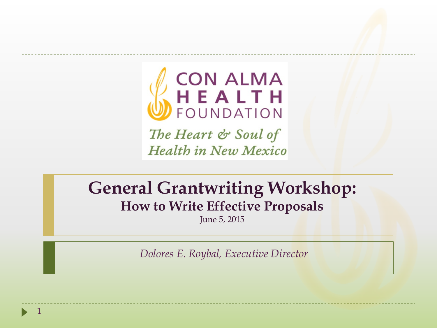

The Heart & Soul of **Health in New Mexico** 

#### **General Grantwriting Workshop: How to Write Effective Proposals**

June 5, 2015

*Dolores E. Roybal, Executive Director*

1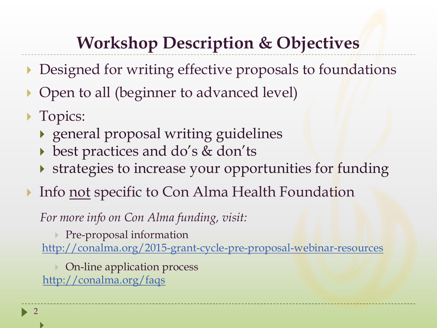#### **Workshop Description & Objectives**

- Designed for writing effective proposals to foundations
- Open to all (beginner to advanced level)
- **Topics:**

 $\blacktriangleright$ 

 $\blacktriangleright$  2

- general proposal writing guidelines
- best practices and do's & don'ts
- If strategies to increase your opportunities for funding
- Info not specific to Con Alma Health Foundation

*For more info on Con Alma funding, visit:*

Pre-proposal information <http://conalma.org/2015-grant-cycle-pre-proposal-webinar-resources>

**▶ On-line application process** <http://conalma.org/faqs>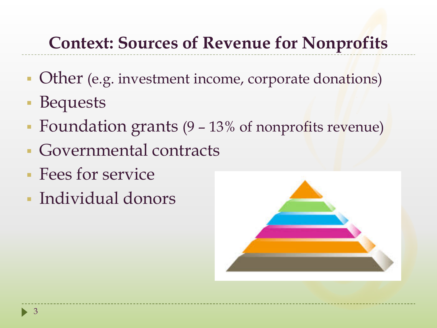#### **Context: Sources of Revenue for Nonprofits**

- Other (e.g. investment income, corporate donations)
- Bequests
- **Foundation grants (9 13% of nonprofits revenue)**
- Governmental contracts
- Fees for service
- Individual donors

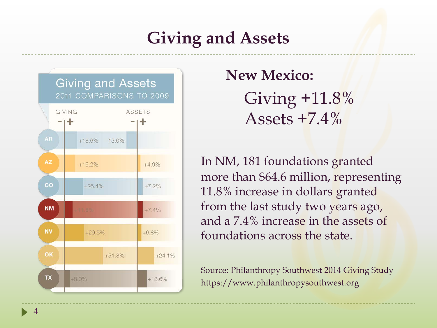#### **Giving and Assets**



Giving  $+11.8\%$ Assets  $+7.4\%$ 

In NM, 181 foundations granted more than \$64.6 million, representing  $11.8\%$  increase in dollars granted from the last study two years ago, and a 7.4% increase in the assets of foundations across the state.

> Source: Philanthropy Southwest 2014 Giving Study https://www.philanthropysouthwest.org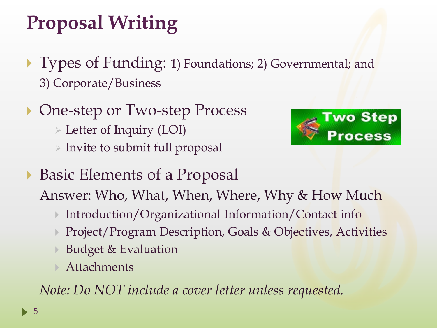# **Proposal Writing**

- ▶ Types of Funding: 1) Foundations; 2) Governmental; and 3) Corporate/Business
- ▶ One-step or Two-step Process
	- Letter of Inquiry (LOI)
	- $\triangleright$  Invite to submit full proposal



▶ Basic Elements of a Proposal

Answer: Who, What, When, Where, Why & How Much

- ▶ Introduction/Organizational Information/Contact info
- Project/Program Description, Goals & Objectives, Activities
- Budget & Evaluation
- Attachments

*Note: Do NOT include a cover letter unless requested.*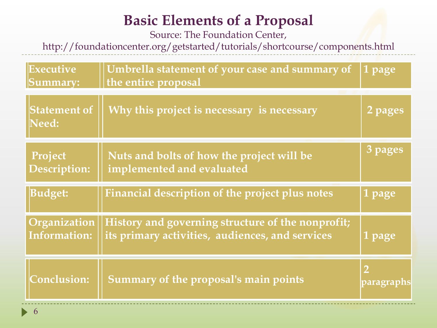#### **Basic Elements of a Proposal**

Source: The Foundation Center,

http://foundationcenter.org/getstarted/tutorials/shortcourse/components.html

| Executive<br>Summary:               | Umbrella statement of your case and summary of<br>the entire proposal                                | 1 page                       |
|-------------------------------------|------------------------------------------------------------------------------------------------------|------------------------------|
| <b>Statement of</b><br>Need:        | Why this project is necessary is necessary                                                           | 2 pages                      |
| Project<br><b>Description:</b>      | Nuts and bolts of how the project will be<br>implemented and evaluated                               | 3 pages                      |
| <b>Budget:</b>                      | Financial description of the project plus notes                                                      | 1 page                       |
| Organization<br><b>Information:</b> | History and governing structure of the nonprofit;<br>its primary activities, audiences, and services | 1 page                       |
| <b>Conclusion:</b>                  | Summary of the proposal's main points                                                                | $\overline{2}$<br>paragraphs |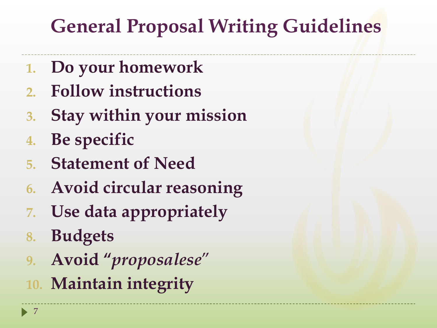- **1. Do your homework**
- **2. Follow instructions**
- **3. Stay within your mission**
- **4. Be specific**
- **5. Statement of Need**
- **6. Avoid circular reasoning**
- **7. Use data appropriately**
- **8. Budgets**
- **9. Avoid "***proposalese*"
- **10. Maintain integrity**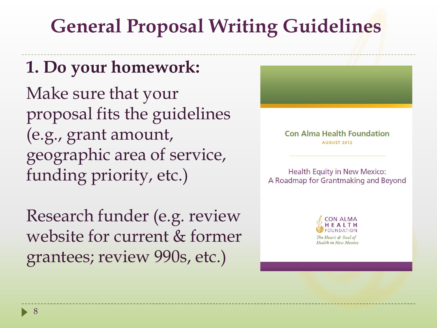#### **1. Do your homework:**

Make sure that your proposal fits the guidelines (e.g., grant amount, geographic area of service, funding priority, etc.)

Research funder (e.g. review website for current & former grantees; review 990s, etc.)

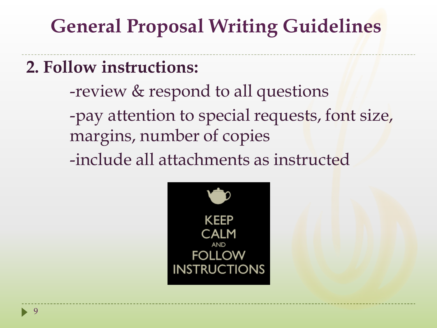#### **2. Follow instructions:**

- -review & respond to all questions -pay attention to special requests, font size, margins, number of copies
- -include all attachments as instructed

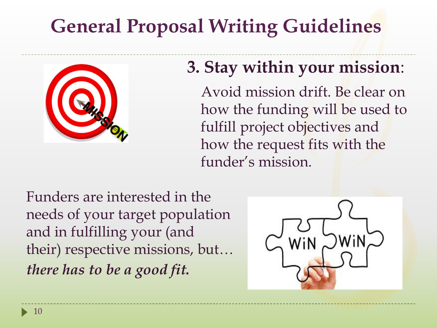

#### **3. Stay within your mission**:

Avoid mission drift. Be clear on how the funding will be used to fulfill project objectives and how the request fits with the funder's mission.

Funders are interested in the needs of your target population and in fulfilling your (and their) respective missions, but… *there has to be a good fit.* 

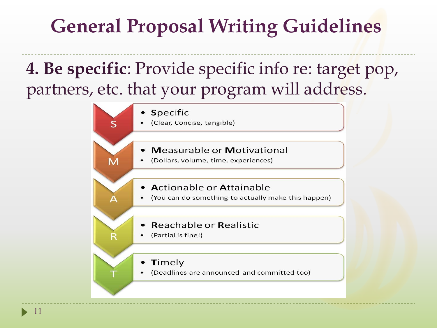#### **4. Be specific**: Provide specific info re: target pop, partners, etc. that your program will address.

Specific

 $\mathsf S$ 

M

 $\overline{\mathsf{R}}$ 

(Clear, Concise, tangible)

#### **Measurable or Motivational**

- (Dollars, volume, time, experiences)
- Actionable or Attainable
- (You can do something to actually make this happen)
- **Reachable or Realistic**
- (Partial is fine!)
	- Timely
- (Deadlines are announced and committed too)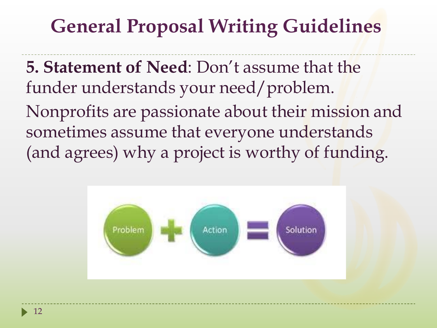**5. Statement of Need**: Don't assume that the funder understands your need/problem.

Nonprofits are passionate about their mission and sometimes assume that everyone understands (and agrees) why a project is worthy of funding.

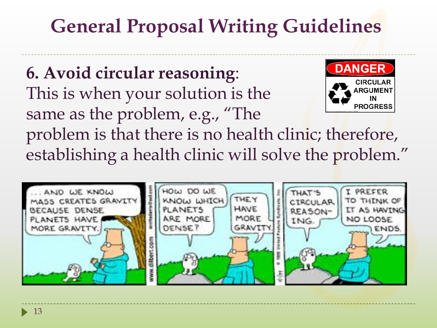**DANGER 6. Avoid circular reasoning**: **CIRCULAR** This is when your solution is the **ARGUMENT PROGRESS** same as the problem, e.g., "The problem is that there is no health clinic; therefore, establishing a health clinic will solve the problem."

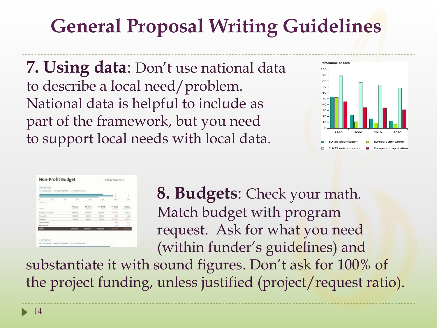**7. Using data**: Don't use national data to describe a local need/problem. National data is helpful to include as part of the framework, but you need to support local needs with local data.



| <b>REVENUE</b><br>WAY TOO PROPOSED - WAY (BETTROOK FEAR)                                                                              |           |                              |                 |                  |              |                       |  |  |  |
|---------------------------------------------------------------------------------------------------------------------------------------|-----------|------------------------------|-----------------|------------------|--------------|-----------------------|--|--|--|
| <b>WITZIELNOWS</b><br>and the first product of the control and control of the control of the control of the control of the control of |           |                              |                 |                  |              |                       |  |  |  |
| $\sim$<br>۰                                                                                                                           | 1000<br>œ | 37.00<br>---                 | 3M              | 3.1.99<br>- 77 - |              | 114                   |  |  |  |
| <b>Editor</b>                                                                                                                         |           | FY 2011<br><b>CONTRACTOR</b> | TV 2012         | FY 2012          | F5 2012      | FY 2912               |  |  |  |
| <b>Turniful Law Gold Agents</b>                                                                                                       |           | transport                    | 100000          | model car        | DOM HE       | <b>Andrew's latin</b> |  |  |  |
| <b>International</b>                                                                                                                  |           | <b>CONTRACT</b><br>4900-00   | 5500.00         | SIRKA-18         |              | o.<br>1.95            |  |  |  |
| Republican                                                                                                                            |           | MANAGE                       | <b>ALCOHOL</b>  | State Color      | DOGS INC     |                       |  |  |  |
| <b>Island Indone</b>                                                                                                                  |           |                              |                 |                  | $1 - 1$      | 5<br>6.89<br>с.       |  |  |  |
| Monitorano                                                                                                                            |           |                              |                 |                  | <b>ARK</b>   | 6.95                  |  |  |  |
| <b>CISAS</b>                                                                                                                          |           | 1209,000.00                  | <b>LINUXION</b> | \$50,000.00      | $\mathbf{u}$ | <b>TERCORA</b>        |  |  |  |

**8. Budgets**: Check your math. Match budget with program request. Ask for what you need (within funder's guidelines) and

substantiate it with sound figures. Don't ask for 100% of the project funding, unless justified (project/request ratio).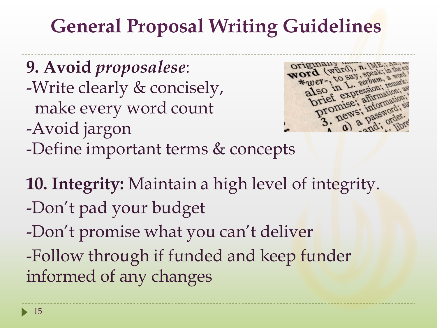**9. Avoid** *proposalese*: -Write clearly & concisely, make every word count -Avoid jargon -Define important terms & concepts



**10. Integrity:** Maintain a high level of integrity. -Don't pad your budget -Don't promise what you can't deliver -Follow through if funded and keep funder informed of any changes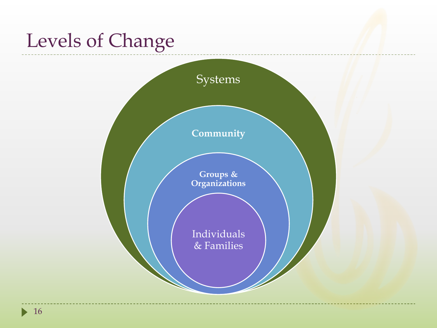## Levels of Change

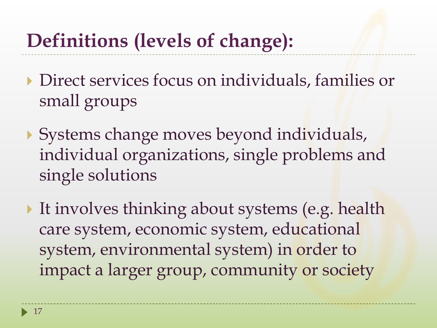## **Definitions (levels of change):**

- Direct services focus on individuals, families or small groups
- Systems change moves beyond individuals, individual organizations, single problems and single solutions
- It involves thinking about systems (e.g. health care system, economic system, educational system, environmental system) in order to impact a larger group, community or society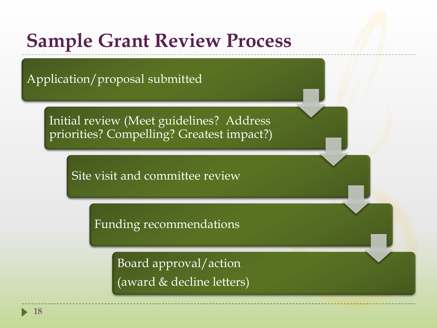#### **Sample Grant Review Process**

Application/proposal submitted

Initial review (Meet guidelines? Address priorities? Compelling? Greatest impact?)

Site visit and committee review

Funding recommendations

Board approval/action (award & decline letters)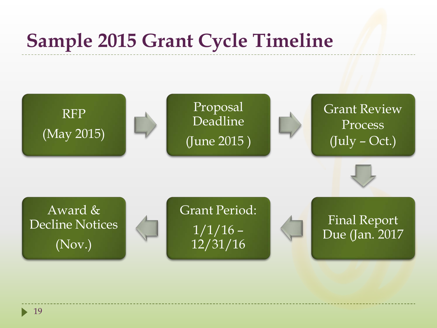#### **Sample 2015 Grant Cycle Timeline**



 $\blacktriangleright$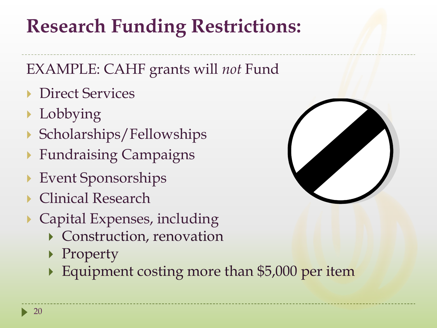## **Research Funding Restrictions:**

#### EXAMPLE: CAHF grants will *not* Fund

- **Direct Services**
- **Lobbying**
- Scholarships/Fellowships
- Fundraising Campaigns
- Event Sponsorships
- ▶ Clinical Research
- Capital Expenses, including
	- Construction, renovation
	- ▶ Property
	- Equipment costing more than \$5,000 per item

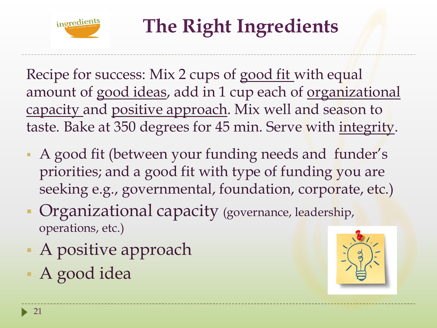

# **The Right Ingredients**

Recipe for success: Mix 2 cups of good fit with equal amount of good ideas, add in 1 cup each of organizational capacity and positive approach. Mix well and season to taste. Bake at 350 degrees for 45 min. Serve with integrity.

- A good fit (between your funding needs and funder's priorities; and a good fit with type of funding you are seeking e.g., governmental, foundation, corporate, etc.)
- **Organizational capacity (governance, leadership,** operations, etc.)
- A positive approach
- A good idea

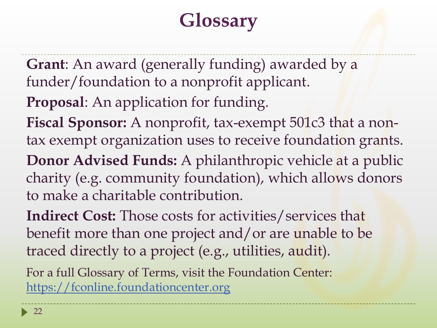## **Glossary**

- **Grant**: An award (generally funding) awarded by a funder/foundation to a nonprofit applicant.
- **Proposal**: An application for funding.
- Fiscal Sponsor: A nonprofit, tax-exempt 501c3 that a nontax exempt organization uses to receive foundation grants.
- **Donor Advised Funds:** A philanthropic vehicle at a public charity (e.g. community foundation), which allows donors to make a charitable contribution.
- **Indirect Cost:** Those costs for activities/services that benefit more than one project and/or are unable to be traced directly to a project (e.g., utilities, audit).

For a full Glossary of Terms, visit the Foundation Center: [https://fconline.foundationcenter.org](https://fconline.foundationcenter.org/)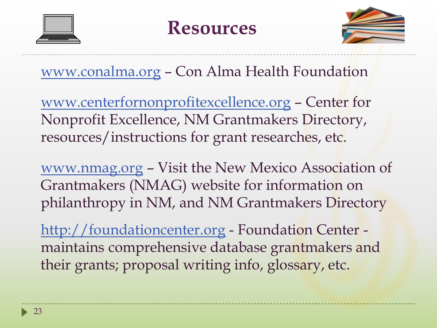



#### [www.conalma.org](http://www.conalma.org/) – Con Alma Health Foundation

[www.centerfornonprofitexcellence.org](http://www.centerfornonprofitexcellence.org/) – Center for Nonprofit Excellence, NM Grantmakers Directory, resources/instructions for grant researches, etc.

[www.nmag.org](http://www.nmag.org/) – Visit the New Mexico Association of Grantmakers (NMAG) website for information on philanthropy in NM, and NM Grantmakers Directory

[http://foundationcenter.org](http://foundationcenter.org/) - Foundation Center maintains comprehensive database grantmakers and their grants; proposal writing info, glossary, etc.